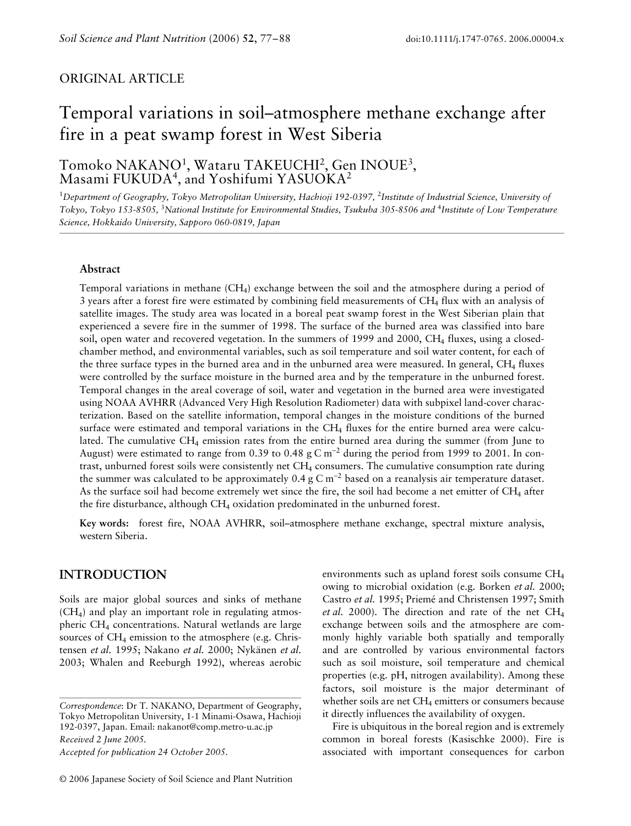# **ORIGINAL ARTICLE**

# Temporal variations in soil–atmosphere methane exchange after fire in a peat swamp forest in West Siberia

# Tomoko NAKANO<sup>1</sup>, Wataru TAKEUCHI<sup>2</sup>, Gen INOUE<sup>3</sup>, Masami FUKUDA<sup>4</sup>, and Yoshifumi YASUOKA<sup>2</sup>

<sup>1</sup>Department of Geography, Tokyo Metropolitan University, Hachioji 192-0397, <sup>2</sup>Institute of Industrial Science, University of *Tokyo, Tokyo 153-8505,* <sup>3</sup> *National Institute for Environmental Studies, Tsukuba 305-8506 and* <sup>4</sup> *Institute of Low Temperature Science, Hokkaido University, Sapporo 060-0819, Japan* 

#### **Abstract**

Temporal variations in methane  $(CH_4)$  exchange between the soil and the atmosphere during a period of 3 years after a forest fire were estimated by combining field measurements of CH<sub>4</sub> flux with an analysis of satellite images. The study area was located in a boreal peat swamp forest in the West Siberian plain that experienced a severe fire in the summer of 1998. The surface of the burned area was classified into bare soil, open water and recovered vegetation. In the summers of 1999 and 2000, CH4 fluxes, using a closedchamber method, and environmental variables, such as soil temperature and soil water content, for each of the three surface types in the burned area and in the unburned area were measured. In general,  $CH<sub>4</sub>$  fluxes were controlled by the surface moisture in the burned area and by the temperature in the unburned forest. Temporal changes in the areal coverage of soil, water and vegetation in the burned area were investigated using NOAA AVHRR (Advanced Very High Resolution Radiometer) data with subpixel land-cover characterization. Based on the satellite information, temporal changes in the moisture conditions of the burned surface were estimated and temporal variations in the  $CH_4$  fluxes for the entire burned area were calculated. The cumulative CH4 emission rates from the entire burned area during the summer (from June to August) were estimated to range from 0.39 to 0.48 g C m<sup>-2</sup> during the period from 1999 to 2001. In contrast, unburned forest soils were consistently net CH4 consumers. The cumulative consumption rate during the summer was calculated to be approximately 0.4 g C m<sup>-2</sup> based on a reanalysis air temperature dataset. As the surface soil had become extremely wet since the fire, the soil had become a net emitter of  $CH_4$  after the fire disturbance, although  $CH_4$  oxidation predominated in the unburned forest.

**Key words:** forest fire, NOAA AVHRR, soil–atmosphere methane exchange, spectral mixture analysis, western Siberia.

# **INTRODUCTION**

Soils are major global sources and sinks of methane  $(CH<sub>4</sub>)$  and play an important role in regulating atmospheric CH4 concentrations. Natural wetlands are large sources of  $CH_4$  emission to the atmosphere (e.g. Christensen *et al.* 1995; Nakano *et al.* 2000; Nykänen *et al.* 2003; Whalen and Reeburgh 1992), whereas aerobic

*Correspondence*: Dr T. NAKANO, Department of Geography, Tokyo Metropolitan University, 1-1 Minami-Osawa, Hachioji 192-0397, Japan. Email: nakanot@comp.metro-u.ac.jp *Received 2 June 2005.*

*Accepted for publication 24 October 2005.*

environments such as upland forest soils consume CH4 owing to microbial oxidation (e.g. Borken *et al.* 2000; Castro *et al.* 1995; Priemé and Christensen 1997; Smith *et al.* 2000). The direction and rate of the net CH4 exchange between soils and the atmosphere are commonly highly variable both spatially and temporally and are controlled by various environmental factors such as soil moisture, soil temperature and chemical properties (e.g. pH, nitrogen availability). Among these factors, soil moisture is the major determinant of whether soils are net  $CH_4$  emitters or consumers because it directly influences the availability of oxygen.

Fire is ubiquitous in the boreal region and is extremely common in boreal forests (Kasischke 2000). Fire is associated with important consequences for carbon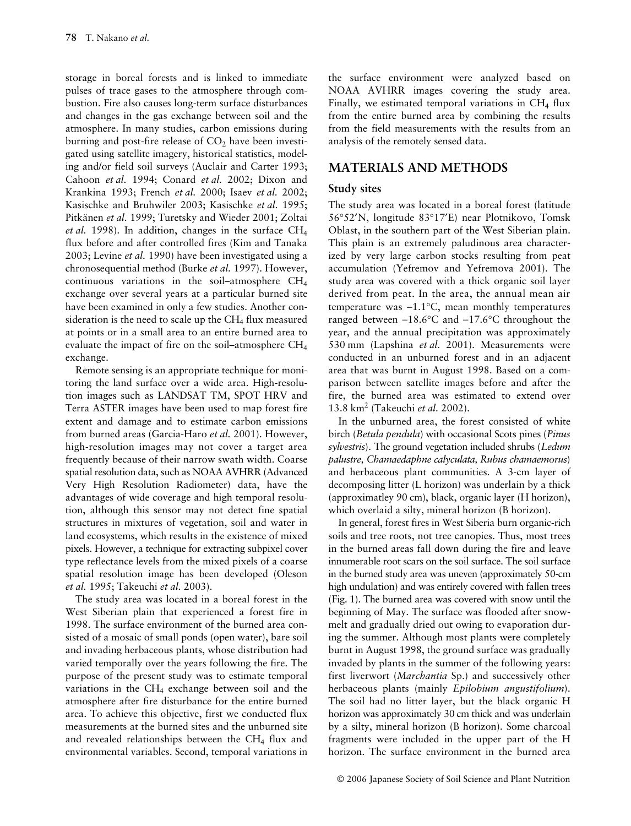storage in boreal forests and is linked to immediate pulses of trace gases to the atmosphere through combustion. Fire also causes long-term surface disturbances and changes in the gas exchange between soil and the atmosphere. In many studies, carbon emissions during burning and post-fire release of  $CO<sub>2</sub>$  have been investigated using satellite imagery, historical statistics, modeling and/or field soil surveys (Auclair and Carter 1993; Cahoon *et al.* 1994; Conard *et al.* 2002; Dixon and Krankina 1993; French *et al.* 2000; Isaev *et al.* 2002; Kasischke and Bruhwiler 2003; Kasischke *et al.* 1995; Pitkänen *et al.* 1999; Turetsky and Wieder 2001; Zoltai *et al.* 1998). In addition, changes in the surface CH4 flux before and after controlled fires (Kim and Tanaka 2003; Levine *et al.* 1990) have been investigated using a chronosequential method (Burke *et al.* 1997). However, continuous variations in the soil–atmosphere CH4 exchange over several years at a particular burned site have been examined in only a few studies. Another consideration is the need to scale up the  $CH<sub>4</sub>$  flux measured at points or in a small area to an entire burned area to evaluate the impact of fire on the soil–atmosphere CH4 exchange.

Remote sensing is an appropriate technique for monitoring the land surface over a wide area. High-resolution images such as LANDSAT TM, SPOT HRV and Terra ASTER images have been used to map forest fire extent and damage and to estimate carbon emissions from burned areas (Garcia-Haro *et al.* 2001). However, high-resolution images may not cover a target area frequently because of their narrow swath width. Coarse spatial resolution data, such as NOAA AVHRR (Advanced Very High Resolution Radiometer) data, have the advantages of wide coverage and high temporal resolution, although this sensor may not detect fine spatial structures in mixtures of vegetation, soil and water in land ecosystems, which results in the existence of mixed pixels. However, a technique for extracting subpixel cover type reflectance levels from the mixed pixels of a coarse spatial resolution image has been developed (Oleson *et al.* 1995; Takeuchi *et al.* 2003).

The study area was located in a boreal forest in the West Siberian plain that experienced a forest fire in 1998. The surface environment of the burned area consisted of a mosaic of small ponds (open water), bare soil and invading herbaceous plants, whose distribution had varied temporally over the years following the fire. The purpose of the present study was to estimate temporal variations in the  $CH<sub>4</sub>$  exchange between soil and the atmosphere after fire disturbance for the entire burned area. To achieve this objective, first we conducted flux measurements at the burned sites and the unburned site and revealed relationships between the CH<sub>4</sub> flux and environmental variables. Second, temporal variations in

the surface environment were analyzed based on NOAA AVHRR images covering the study area. Finally, we estimated temporal variations in  $CH<sub>4</sub>$  flux from the entire burned area by combining the results from the field measurements with the results from an analysis of the remotely sensed data.

# **MATERIALS AND METHODS**

## **Study sites**

The study area was located in a boreal forest (latitude 56°52′N, longitude 83°17′E) near Plotnikovo, Tomsk Oblast, in the southern part of the West Siberian plain. This plain is an extremely paludinous area characterized by very large carbon stocks resulting from peat accumulation (Yefremov and Yefremova 2001). The study area was covered with a thick organic soil layer derived from peat. In the area, the annual mean air temperature was −1.1°C, mean monthly temperatures ranged between −18.6°C and −17.6°C throughout the year, and the annual precipitation was approximately 530 mm (Lapshina *et al.* 2001). Measurements were conducted in an unburned forest and in an adjacent area that was burnt in August 1998. Based on a comparison between satellite images before and after the fire, the burned area was estimated to extend over 13.8 km2 (Takeuchi *et al.* 2002).

In the unburned area, the forest consisted of white birch (*Betula pendula*) with occasional Scots pines (*Pinus sylvestris*). The ground vegetation included shrubs (*Ledum palustre, Chamaedaphne calyculata, Rubus chamaemorus*) and herbaceous plant communities. A 3-cm layer of decomposing litter (L horizon) was underlain by a thick (approximatley 90 cm), black, organic layer (H horizon), which overlaid a silty, mineral horizon (B horizon).

In general, forest fires in West Siberia burn organic-rich soils and tree roots, not tree canopies. Thus, most trees in the burned areas fall down during the fire and leave innumerable root scars on the soil surface. The soil surface in the burned study area was uneven (approximately 50-cm high undulation) and was entirely covered with fallen trees (Fig. 1). The burned area was covered with snow until the beginning of May. The surface was flooded after snowmelt and gradually dried out owing to evaporation during the summer. Although most plants were completely burnt in August 1998, the ground surface was gradually invaded by plants in the summer of the following years: first liverwort (*Marchantia* Sp.) and successively other herbaceous plants (mainly *Epilobium angustifolium*). The soil had no litter layer, but the black organic H horizon was approximately 30 cm thick and was underlain by a silty, mineral horizon (B horizon). Some charcoal fragments were included in the upper part of the H horizon. The surface environment in the burned area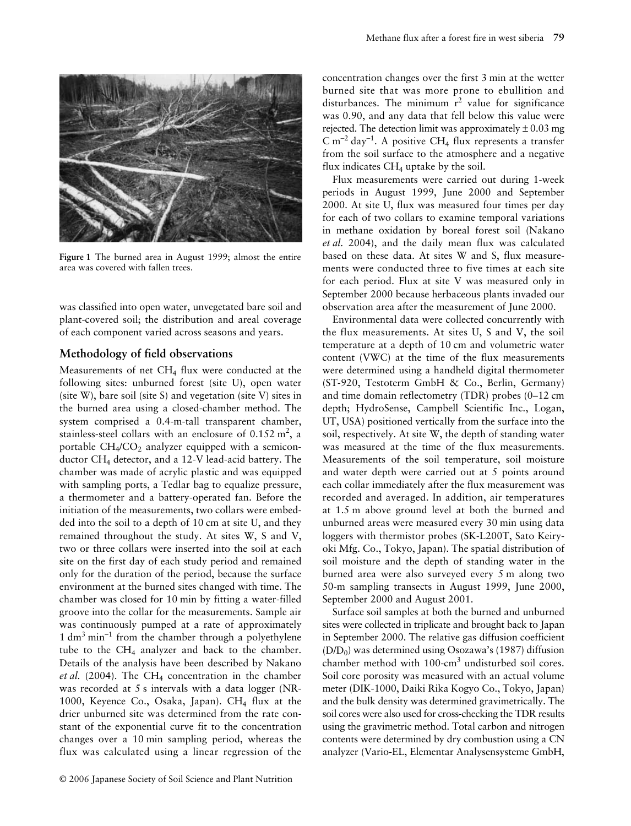

**Figure 1** The burned area in August 1999; almost the entire area was covered with fallen trees.

was classified into open water, unvegetated bare soil and plant-covered soil; the distribution and areal coverage of each component varied across seasons and years.

#### **Methodology of field observations**

Measurements of net  $CH<sub>4</sub>$  flux were conducted at the following sites: unburned forest (site U), open water (site W), bare soil (site S) and vegetation (site V) sites in the burned area using a closed-chamber method. The system comprised a 0.4-m-tall transparent chamber, stainless-steel collars with an enclosure of  $0.152 \text{ m}^2$ , a portable  $CH_4/CO_2$  analyzer equipped with a semiconductor CH4 detector, and a 12-V lead-acid battery. The chamber was made of acrylic plastic and was equipped with sampling ports, a Tedlar bag to equalize pressure, a thermometer and a battery-operated fan. Before the initiation of the measurements, two collars were embedded into the soil to a depth of 10 cm at site U, and they remained throughout the study. At sites W, S and V, two or three collars were inserted into the soil at each site on the first day of each study period and remained only for the duration of the period, because the surface environment at the burned sites changed with time. The chamber was closed for 10 min by fitting a water-filled groove into the collar for the measurements. Sample air was continuously pumped at a rate of approximately 1 dm<sup>3</sup> min<sup>-1</sup> from the chamber through a polyethylene tube to the  $CH<sub>4</sub>$  analyzer and back to the chamber. Details of the analysis have been described by Nakano *et al.* (2004). The CH<sub>4</sub> concentration in the chamber was recorded at 5 s intervals with a data logger (NR-1000, Keyence Co., Osaka, Japan).  $CH<sub>4</sub>$  flux at the drier unburned site was determined from the rate constant of the exponential curve fit to the concentration changes over a 10 min sampling period, whereas the flux was calculated using a linear regression of the

concentration changes over the first 3 min at the wetter burned site that was more prone to ebullition and disturbances. The minimum  $r^2$  value for significance was 0.90, and any data that fell below this value were rejected. The detection limit was approximately  $\pm 0.03$  mg  $\text{C m}^{-2}$  day<sup>-1</sup>. A positive CH<sub>4</sub> flux represents a transfer from the soil surface to the atmosphere and a negative flux indicates  $CH<sub>4</sub>$  uptake by the soil.

Flux measurements were carried out during 1-week periods in August 1999, June 2000 and September 2000. At site U, flux was measured four times per day for each of two collars to examine temporal variations in methane oxidation by boreal forest soil (Nakano *et al.* 2004), and the daily mean flux was calculated based on these data. At sites W and S, flux measurements were conducted three to five times at each site for each period. Flux at site V was measured only in September 2000 because herbaceous plants invaded our observation area after the measurement of June 2000.

Environmental data were collected concurrently with the flux measurements. At sites U, S and V, the soil temperature at a depth of 10 cm and volumetric water content (VWC) at the time of the flux measurements were determined using a handheld digital thermometer (ST-920, Testoterm GmbH & Co., Berlin, Germany) and time domain reflectometry (TDR) probes (0–12 cm depth; HydroSense, Campbell Scientific Inc., Logan, UT, USA) positioned vertically from the surface into the soil, respectively. At site W, the depth of standing water was measured at the time of the flux measurements. Measurements of the soil temperature, soil moisture and water depth were carried out at 5 points around each collar immediately after the flux measurement was recorded and averaged. In addition, air temperatures at 1.5 m above ground level at both the burned and unburned areas were measured every 30 min using data loggers with thermistor probes (SK-L200T, Sato Keiryoki Mfg. Co., Tokyo, Japan). The spatial distribution of soil moisture and the depth of standing water in the burned area were also surveyed every 5 m along two 50-m sampling transects in August 1999, June 2000, September 2000 and August 2001.

Surface soil samples at both the burned and unburned sites were collected in triplicate and brought back to Japan in September 2000. The relative gas diffusion coefficient  $(D/D<sub>0</sub>)$  was determined using Osozawa's (1987) diffusion chamber method with  $100$ -cm<sup>3</sup> undisturbed soil cores. Soil core porosity was measured with an actual volume meter (DIK-1000, Daiki Rika Kogyo Co., Tokyo, Japan) and the bulk density was determined gravimetrically. The soil cores were also used for cross-checking the TDR results using the gravimetric method. Total carbon and nitrogen contents were determined by dry combustion using a CN analyzer (Vario-EL, Elementar Analysensysteme GmbH,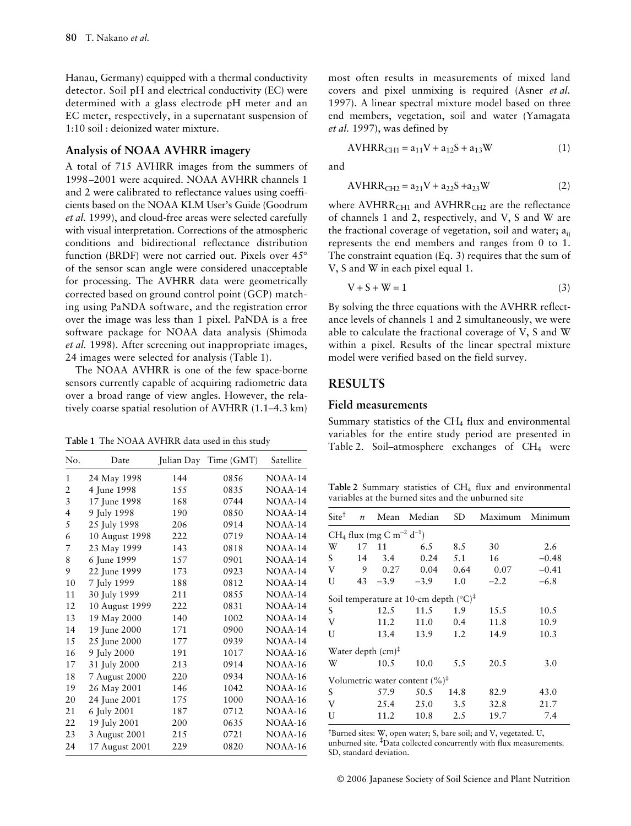Hanau, Germany) equipped with a thermal conductivity detector. Soil pH and electrical conductivity (EC) were determined with a glass electrode pH meter and an EC meter, respectively, in a supernatant suspension of 1:10 soil : deionized water mixture.

#### **Analysis of NOAA AVHRR imagery**

A total of 715 AVHRR images from the summers of 1998–2001 were acquired. NOAA AVHRR channels 1 and 2 were calibrated to reflectance values using coefficients based on the NOAA KLM User's Guide (Goodrum *et al.* 1999), and cloud-free areas were selected carefully with visual interpretation. Corrections of the atmospheric conditions and bidirectional reflectance distribution function (BRDF) were not carried out. Pixels over 45° of the sensor scan angle were considered unacceptable for processing. The AVHRR data were geometrically corrected based on ground control point (GCP) matching using PaNDA software, and the registration error over the image was less than 1 pixel. PaNDA is a free software package for NOAA data analysis (Shimoda *et al.* 1998). After screening out inappropriate images, 24 images were selected for analysis (Table 1).

The NOAA AVHRR is one of the few space-borne sensors currently capable of acquiring radiometric data over a broad range of view angles. However, the relatively coarse spatial resolution of AVHRR (1.1–4.3 km)

| No. | Date           |     | Julian Day Time (GMT) | Satellite |
|-----|----------------|-----|-----------------------|-----------|
| 1   | 24 May 1998    | 144 | 0856                  | $NOAA-14$ |
| 2   | 4 June 1998    | 155 | 0835                  | $NOAA-14$ |
| 3   | 17 June 1998   | 168 | 0744                  | $NOAA-14$ |
| 4   | 9 July 1998    | 190 | 08.50                 | $NOAA-14$ |
| 5   | 25 July 1998   | 206 | 0914                  | NOAA-14   |
| 6   | 10 August 1998 | 222 | 0719                  | $NOAA-14$ |
| 7   | 23 May 1999    | 143 | 0818                  | NOAA-14   |
| 8   | 6 June 1999    | 157 | 0901                  | NOAA-14   |
| 9   | 22 June 1999   | 173 | 0923                  | NOAA-14   |
| 10  | 7 July 1999    | 188 | 0812                  | $NOAA-14$ |
| 11  | 30 July 1999   | 211 | 0855                  | NOAA-14   |
| 12  | 10 August 1999 | 222 | 0831                  | NOAA-14   |
| 13  | 19 May 2000    | 140 | 1002                  | NOAA-14   |
| 14  | 19 June 2000   | 171 | 0900                  | NOAA-14   |
| 15  | 25 June 2000   | 177 | 0939                  | $NOAA-14$ |
| 16  | 9 July 2000    | 191 | 1017                  | NOAA-16   |
| 17  | 31 July 2000   | 213 | 0914                  | NOAA-16   |
| 18  | 7 August 2000  | 220 | 0934                  | NOAA-16   |
| 19  | 26 May 2001    | 146 | 1042                  | NOAA-16   |
| 20  | 24 June 2001   | 175 | 1000                  | NOAA-16   |
| 21  | 6 July 2001    | 187 | 0712                  | NOAA-16   |
| 22  | 19 July 2001   | 200 | 0635                  | NOAA-16   |
| 23  | 3 August 2001  | 215 | 0721                  | NOAA-16   |
| 24  | 17 August 2001 | 229 | 0820                  | NOAA-16   |

most often results in measurements of mixed land covers and pixel unmixing is required (Asner *et al.* 1997). A linear spectral mixture model based on three end members, vegetation, soil and water (Yamagata *et al.* 1997), was defined by

$$
AVHRR_{CH1} = a_{11}V + a_{12}S + a_{13}W
$$
 (1)

and

$$
AVHRR_{CH2} = a_{21}V + a_{22}S + a_{23}W
$$
 (2)

where  $AVHRR<sub>CH1</sub>$  and  $AVHRR<sub>CH2</sub>$  are the reflectance of channels 1 and 2, respectively, and V, S and W are the fractional coverage of vegetation, soil and water; a<sub>ii</sub> represents the end members and ranges from 0 to 1. The constraint equation (Eq. 3) requires that the sum of V, S and W in each pixel equal 1.

$$
V + S + W = 1 \tag{3}
$$

By solving the three equations with the AVHRR reflectance levels of channels 1 and 2 simultaneously, we were able to calculate the fractional coverage of V, S and W within a pixel. Results of the linear spectral mixture model were verified based on the field survey.

# **RESULTS**

#### **Field measurements**

Summary statistics of the  $CH<sub>4</sub>$  flux and environmental variables for the entire study period are presented in Table 1 The NOAA AVHRR data used in this study<br>Table 2. Soil–atmosphere exchanges of CH<sub>4</sub> were

Table 2 Summary statistics of CH<sub>4</sub> flux and environmental variables at the burned sites and the unburned site

| $\boldsymbol{n}$ | Mean   | Median                        | <b>SD</b>                                                    | Maximum                                    | Minimum                                                    |
|------------------|--------|-------------------------------|--------------------------------------------------------------|--------------------------------------------|------------------------------------------------------------|
|                  |        |                               |                                                              |                                            |                                                            |
| 17               | 11     | 6.5                           | 8.5                                                          | 30                                         | 2.6                                                        |
| 14               | 3.4    | 0.24                          | 5.1                                                          | 16                                         | $-0.48$                                                    |
| 9                | 0.27   | 0.04                          | 0.64                                                         | 0.07                                       | $-0.41$                                                    |
| 43               | $-3.9$ | $-3.9$                        | 1.0                                                          | $-2.2$                                     | $-6.8$                                                     |
|                  |        |                               |                                                              |                                            |                                                            |
|                  | 12.5   | 11.5                          | 1.9                                                          | 15.5                                       | 10.5                                                       |
|                  | 11.2   | 11.0                          | 0.4                                                          | 11.8                                       | 10.9                                                       |
|                  | 13.4   | 13.9                          | 1.2                                                          | 14.9                                       | 10.3                                                       |
|                  |        |                               |                                                              |                                            |                                                            |
|                  | 10.5   | 10.0                          | 5.5                                                          | 20.5                                       | 3.0                                                        |
|                  |        |                               |                                                              |                                            |                                                            |
|                  | 57.9   | 50.5                          | 14.8                                                         | 82.9                                       | 43.0                                                       |
|                  | 25.4   | 25.0                          | 3.5                                                          | 32.8                                       | 21.7                                                       |
|                  | 11.2   | 10.8                          | 2.5                                                          | 19.7                                       | 7.4                                                        |
|                  |        | Water depth $(cm)^{\ddagger}$ | CH <sub>4</sub> flux (mg C m <sup>-2</sup> d <sup>-1</sup> ) | Volumetric water content $(\%)^{\ddagger}$ | Soil temperature at 10-cm depth $({}^{\circ}C)^{\ddagger}$ |

† Burned sites: W, open water; S, bare soil; and V, vegetated. U, unburned site. **‡** Data collected concurrently with flux measurements. SD, standard deviation.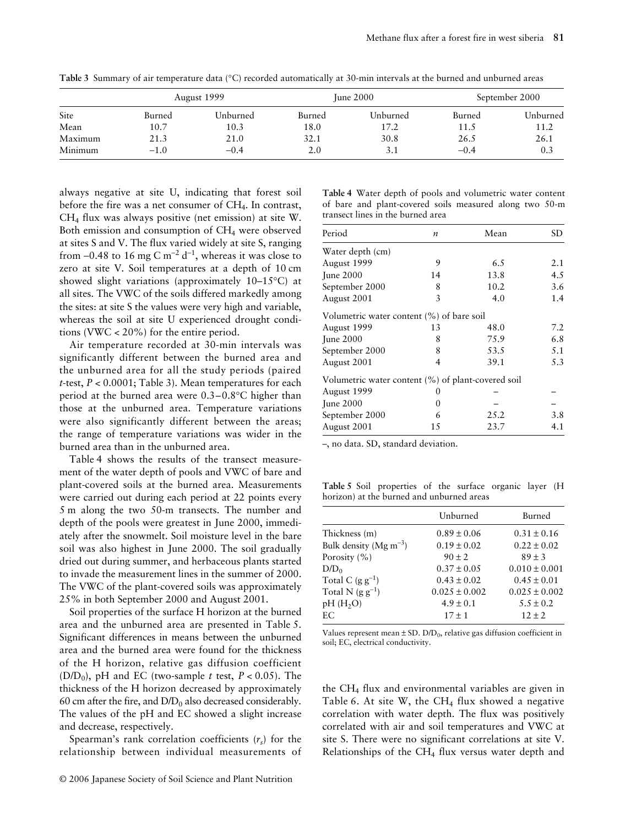| Site    | August 1999 |          | June $2000$ |          | September 2000 |          |
|---------|-------------|----------|-------------|----------|----------------|----------|
|         | Burned      | Unburned | Burned      | Unburned | Burned         | Unburned |
| Mean    | 10.7        | 10.3     | 18.0        | 17.2     | 11.5           | 11.2     |
| Maximum | 21.3        | 21.0     | 32.1        | 30.8     | 26.5           | 26.1     |
| Minimum | $-1.0$      | $-0.4$   | 2.0         | 3.1      | $-0.4$         | 0.3      |

**Table 3** Summary of air temperature data (°C) recorded automatically at 30-min intervals at the burned and unburned areas

always negative at site U, indicating that forest soil before the fire was a net consumer of CH4. In contrast, CH4 flux was always positive (net emission) at site W. Both emission and consumption of CH<sub>4</sub> were observed at sites S and V. The flux varied widely at site S, ranging from -0.48 to 16 mg C m<sup>-2</sup> d<sup>-1</sup>, whereas it was close to zero at site V. Soil temperatures at a depth of 10 cm showed slight variations (approximately 10–15°C) at all sites. The VWC of the soils differed markedly among the sites: at site S the values were very high and variable, whereas the soil at site U experienced drought conditions (VWC < 20%) for the entire period.

Air temperature recorded at 30-min intervals was significantly different between the burned area and the unburned area for all the study periods (paired *t*-test, *P* < 0.0001; Table 3). Mean temperatures for each period at the burned area were 0.3–0.8°C higher than those at the unburned area. Temperature variations were also significantly different between the areas; the range of temperature variations was wider in the burned area than in the unburned area.

Table 4 shows the results of the transect measurement of the water depth of pools and VWC of bare and plant-covered soils at the burned area. Measurements were carried out during each period at 22 points every 5 m along the two 50-m transects. The number and depth of the pools were greatest in June 2000, immediately after the snowmelt. Soil moisture level in the bare soil was also highest in June 2000. The soil gradually dried out during summer, and herbaceous plants started to invade the measurement lines in the summer of 2000. The VWC of the plant-covered soils was approximately 25% in both September 2000 and August 2001.

Soil properties of the surface H horizon at the burned area and the unburned area are presented in Table 5. Significant differences in means between the unburned area and the burned area were found for the thickness of the H horizon, relative gas diffusion coefficient (D/D<sub>0</sub>), pH and EC (two-sample *t* test,  $P < 0.05$ ). The thickness of the H horizon decreased by approximately 60 cm after the fire, and  $D/D_0$  also decreased considerably. The values of the pH and EC showed a slight increase and decrease, respectively.

Spearman's rank correlation coefficients  $(r<sub>s</sub>)$  for the relationship between individual measurements of

|  |                                   |  | Table 4 Water depth of pools and volumetric water content |  |  |
|--|-----------------------------------|--|-----------------------------------------------------------|--|--|
|  |                                   |  | of bare and plant-covered soils measured along two 50-m   |  |  |
|  | transect lines in the burned area |  |                                                           |  |  |

| Period                                             | $\boldsymbol{n}$ | Mean | SD. |
|----------------------------------------------------|------------------|------|-----|
| Water depth (cm)                                   |                  |      |     |
| August 1999                                        | 9                | 6.5  | 2.1 |
| <b>June 2000</b>                                   | 14               | 13.8 | 4.5 |
| September 2000                                     | 8                | 10.2 | 3.6 |
| August 2001                                        | 3                | 4.0  | 1.4 |
| Volumetric water content (%) of bare soil          |                  |      |     |
| August 1999                                        | 13               | 48.0 | 7.2 |
| June 2000                                          | 8                | 75.9 | 6.8 |
| September 2000                                     | 8                | 53.5 | 5.1 |
| August 2001                                        | 4                | 39.1 | 5.3 |
| Volumetric water content (%) of plant-covered soil |                  |      |     |
| August 1999                                        | 0                |      |     |
| <b>June 2000</b>                                   | $^{()}$          |      |     |
| September 2000                                     | 6                | 25.2 | 3.8 |
| August 2001                                        | 15               | 23.7 | 4.1 |

–, no data. SD, standard deviation.

**Table 5** Soil properties of the surface organic layer (H horizon) at the burned and unburned areas

|                             | Unburned          | Burned            |
|-----------------------------|-------------------|-------------------|
| Thickness (m)               | $0.89 \pm 0.06$   | $0.31 \pm 0.16$   |
| Bulk density (Mg $m^{-3}$ ) | $0.19 \pm 0.02$   | $0.22 \pm 0.02$   |
| Porosity $(\% )$            | $90 \pm 2$        | $89 \pm 3$        |
| $D/D_0$                     | $0.37 \pm 0.05$   | $0.010 \pm 0.001$ |
| Total C $(g g^{-1})$        | $0.43 \pm 0.02$   | $0.45 \pm 0.01$   |
| Total N $(g g^{-1})$        | $0.025 \pm 0.002$ | $0.025 \pm 0.002$ |
| pH(H <sub>2</sub> O)        | $4.9 \pm 0.1$     | $5.5 \pm 0.2$     |
| EС                          | $17 \pm 1$        | $12 \pm 2$        |
|                             |                   |                   |

Values represent mean  $\pm$  SD. D/D<sub>0</sub>, relative gas diffusion coefficient in soil; EC, electrical conductivity.

the CH4 flux and environmental variables are given in Table 6. At site W, the  $CH_4$  flux showed a negative correlation with water depth. The flux was positively correlated with air and soil temperatures and VWC at site S. There were no significant correlations at site V. Relationships of the  $CH<sub>4</sub>$  flux versus water depth and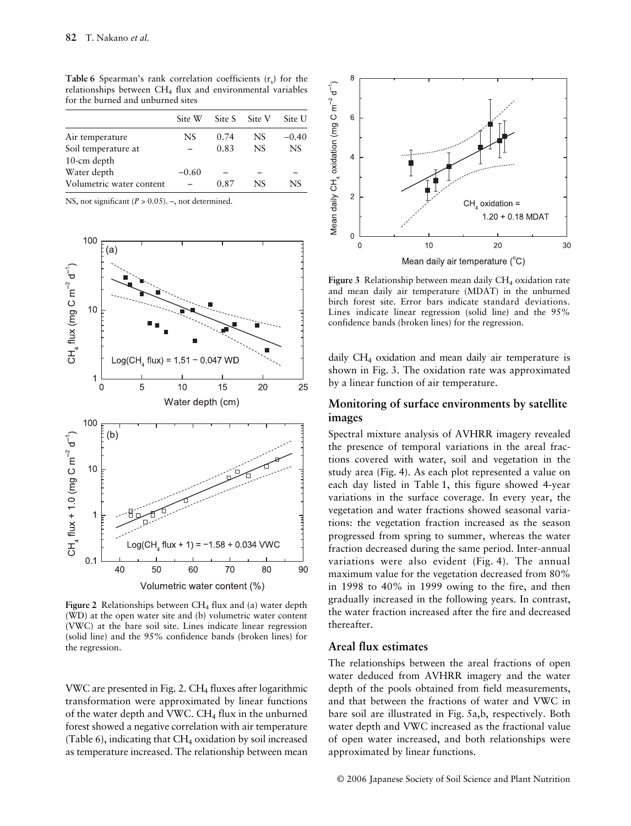| Site W  | Site S |     | Site U    |
|---------|--------|-----|-----------|
| NS      | 0.74   | NS  | $-0.40$   |
|         | 0.83   | NS. | <b>NS</b> |
|         |        |     |           |
| $-0.60$ |        |     |           |
|         | 0.87   | NS  | NS        |
|         |        |     | Site V    |

**Table 6** Spearman's rank correlation coefficients  $(r_s)$  for the relationships between CH4 flux and environmental variables for the burned and unburned sites

NS, not significant ( $P > 0.05$ ). –, not determined.



Figure 2 Relationships between CH<sub>4</sub> flux and (a) water depth (WD) at the open water site and (b) volumetric water content (VWC) at the bare soil site. Lines indicate linear regression (solid line) and the 95% confidence bands (broken lines) for the regression.

VWC are presented in Fig. 2.  $CH<sub>4</sub>$  fluxes after logarithmic transformation were approximated by linear functions of the water depth and VWC.  $CH<sub>4</sub>$  flux in the unburned forest showed a negative correlation with air temperature (Table 6), indicating that  $CH_4$  oxidation by soil increased as temperature increased. The relationship between mean



Figure 3 Relationship between mean daily CH<sub>4</sub> oxidation rate and mean daily air temperature (MDAT) in the unburned birch forest site. Error bars indicate standard deviations. Lines indicate linear regression (solid line) and the 95% confidence bands (broken lines) for the regression.

daily CH4 oxidation and mean daily air temperature is shown in Fig. 3. The oxidation rate was approximated by a linear function of air temperature.

#### **Monitoring of surface environments by satellite images**

Spectral mixture analysis of AVHRR imagery revealed the presence of temporal variations in the areal fractions covered with water, soil and vegetation in the study area (Fig. 4). As each plot represented a value on each day listed in Table 1, this figure showed 4-year variations in the surface coverage. In every year, the vegetation and water fractions showed seasonal variations: the vegetation fraction increased as the season progressed from spring to summer, whereas the water fraction decreased during the same period. Inter-annual variations were also evident (Fig. 4). The annual maximum value for the vegetation decreased from 80% in 1998 to 40% in 1999 owing to the fire, and then gradually increased in the following years. In contrast, the water fraction increased after the fire and decreased thereafter.

## **Areal flux estimates**

The relationships between the areal fractions of open water deduced from AVHRR imagery and the water depth of the pools obtained from field measurements, and that between the fractions of water and VWC in bare soil are illustrated in Fig. 5a,b, respectively. Both water depth and VWC increased as the fractional value of open water increased, and both relationships were approximated by linear functions.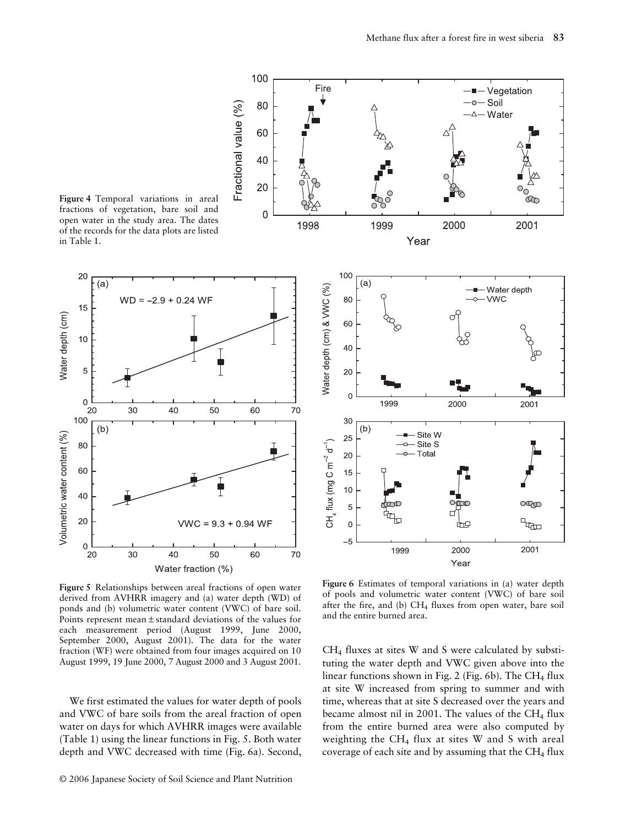

100

80

60

40

**Figure 5** Relationships between areal fractions of open water derived from AVHRR imagery and (a) water depth (WD) of ponds and (b) volumetric water content (VWC) of bare soil. Points represent mean ± standard deviations of the values for each measurement period (August 1999, June 2000, September 2000, August 2001). The data for the water fraction (WF) were obtained from four images acquired on 10 August 1999, 19 June 2000, 7 August 2000 and 3 August 2001.

We first estimated the values for water depth of pools and VWC of bare soils from the areal fraction of open water on days for which AVHRR images were available (Table 1) using the linear functions in Fig. 5. Both water depth and VWC decreased with time (Fig. 6a). Second,



**Figure 6** Estimates of temporal variations in (a) water depth of pools and volumetric water content (VWC) of bare soil after the fire, and (b)  $CH_4$  fluxes from open water, bare soil and the entire burned area.

 $CH<sub>4</sub>$  fluxes at sites W and S were calculated by substituting the water depth and VWC given above into the linear functions shown in Fig. 2 (Fig. 6b). The CH<sub>4</sub> flux at site W increased from spring to summer and with time, whereas that at site S decreased over the years and became almost nil in 2001. The values of the CH<sub>4</sub> flux from the entire burned area were also computed by weighting the CH4 flux at sites W and S with areal coverage of each site and by assuming that the  $CH<sub>4</sub>$  flux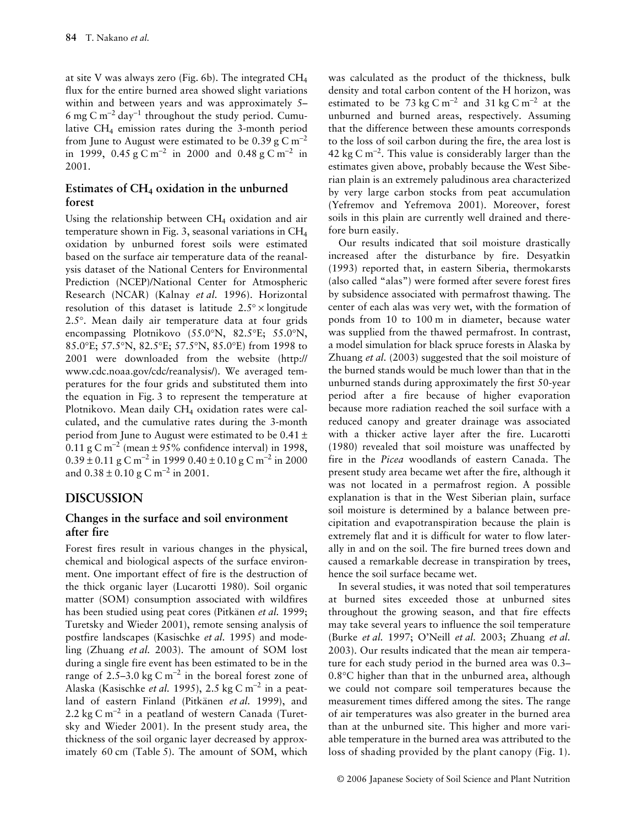at site V was always zero (Fig. 6b). The integrated  $CH<sub>4</sub>$ flux for the entire burned area showed slight variations within and between years and was approximately 5– 6 mg C m<sup>-2</sup> day<sup>-1</sup> throughout the study period. Cumulative CH4 emission rates during the 3-month period from June to August were estimated to be  $0.39 \text{ g C m}^{-2}$ in 1999, 0.45 g C m<sup>-2</sup> in 2000 and 0.48 g C m<sup>-2</sup> in 2001.

# **Estimates of CH<sub>4</sub> oxidation in the unburned forest**

Using the relationship between  $CH<sub>4</sub>$  oxidation and air temperature shown in Fig. 3, seasonal variations in  $CH<sub>4</sub>$ oxidation by unburned forest soils were estimated based on the surface air temperature data of the reanalysis dataset of the National Centers for Environmental Prediction (NCEP)/National Center for Atmospheric Research (NCAR) (Kalnay *et al.* 1996). Horizontal resolution of this dataset is latitude  $2.5^\circ \times$  longitude 2.5°. Mean daily air temperature data at four grids encompassing Plotnikovo (55.0°N, 82.5°E; 55.0°N, 85.0°E; 57.5°N, 82.5°E; 57.5°N, 85.0°E) from 1998 to 2001 were downloaded from the website (http:// www.cdc.noaa.gov/cdc/reanalysis/). We averaged temperatures for the four grids and substituted them into the equation in Fig. 3 to represent the temperature at Plotnikovo. Mean daily CH<sub>4</sub> oxidation rates were calculated, and the cumulative rates during the 3-month period from June to August were estimated to be 0.41 ±  $0.11$  g C m<sup>-2</sup> (mean ± 95% confidence interval) in 1998,  $0.39 \pm 0.11$  g C m<sup>-2</sup> in 1999  $0.40 \pm 0.10$  g C m<sup>-2</sup> in 2000 and  $0.38 \pm 0.10$  g C m<sup>-2</sup> in 2001.

# **DISCUSSION**

# **Changes in the surface and soil environment after fire**

Forest fires result in various changes in the physical, chemical and biological aspects of the surface environment. One important effect of fire is the destruction of the thick organic layer (Lucarotti 1980). Soil organic matter (SOM) consumption associated with wildfires has been studied using peat cores (Pitkänen *et al.* 1999; Turetsky and Wieder 2001), remote sensing analysis of postfire landscapes (Kasischke *et al.* 1995) and modeling (Zhuang *et al.* 2003). The amount of SOM lost during a single fire event has been estimated to be in the range of 2.5–3.0 kg C m<sup>-2</sup> in the boreal forest zone of Alaska (Kasischke *et al.* 1995), 2.5 kg C m−<sup>2</sup> in a peatland of eastern Finland (Pitkänen *et al.* 1999), and 2.2 kg C m<sup>-2</sup> in a peatland of western Canada (Turetsky and Wieder 2001). In the present study area, the thickness of the soil organic layer decreased by approximately 60 cm (Table 5). The amount of SOM, which

was calculated as the product of the thickness, bulk density and total carbon content of the H horizon, was estimated to be 73 kg C m<sup>-2</sup> and 31 kg C m<sup>-2</sup> at the unburned and burned areas, respectively. Assuming that the difference between these amounts corresponds to the loss of soil carbon during the fire, the area lost is 42 kg C m<sup>-2</sup>. This value is considerably larger than the estimates given above, probably because the West Siberian plain is an extremely paludinous area characterized by very large carbon stocks from peat accumulation (Yefremov and Yefremova 2001). Moreover, forest soils in this plain are currently well drained and therefore burn easily.

Our results indicated that soil moisture drastically increased after the disturbance by fire. Desyatkin (1993) reported that, in eastern Siberia, thermokarsts (also called "alas") were formed after severe forest fires by subsidence associated with permafrost thawing. The center of each alas was very wet, with the formation of ponds from 10 to 100 m in diameter, because water was supplied from the thawed permafrost. In contrast, a model simulation for black spruce forests in Alaska by Zhuang *et al.* (2003) suggested that the soil moisture of the burned stands would be much lower than that in the unburned stands during approximately the first 50-year period after a fire because of higher evaporation because more radiation reached the soil surface with a reduced canopy and greater drainage was associated with a thicker active layer after the fire. Lucarotti (1980) revealed that soil moisture was unaffected by fire in the *Picea* woodlands of eastern Canada. The present study area became wet after the fire, although it was not located in a permafrost region. A possible explanation is that in the West Siberian plain, surface soil moisture is determined by a balance between precipitation and evapotranspiration because the plain is extremely flat and it is difficult for water to flow laterally in and on the soil. The fire burned trees down and caused a remarkable decrease in transpiration by trees, hence the soil surface became wet.

In several studies, it was noted that soil temperatures at burned sites exceeded those at unburned sites throughout the growing season, and that fire effects may take several years to influence the soil temperature (Burke *et al.* 1997; O'Neill *et al.* 2003; Zhuang *et al.* 2003). Our results indicated that the mean air temperature for each study period in the burned area was 0.3– 0.8°C higher than that in the unburned area, although we could not compare soil temperatures because the measurement times differed among the sites. The range of air temperatures was also greater in the burned area than at the unburned site. This higher and more variable temperature in the burned area was attributed to the loss of shading provided by the plant canopy (Fig. 1).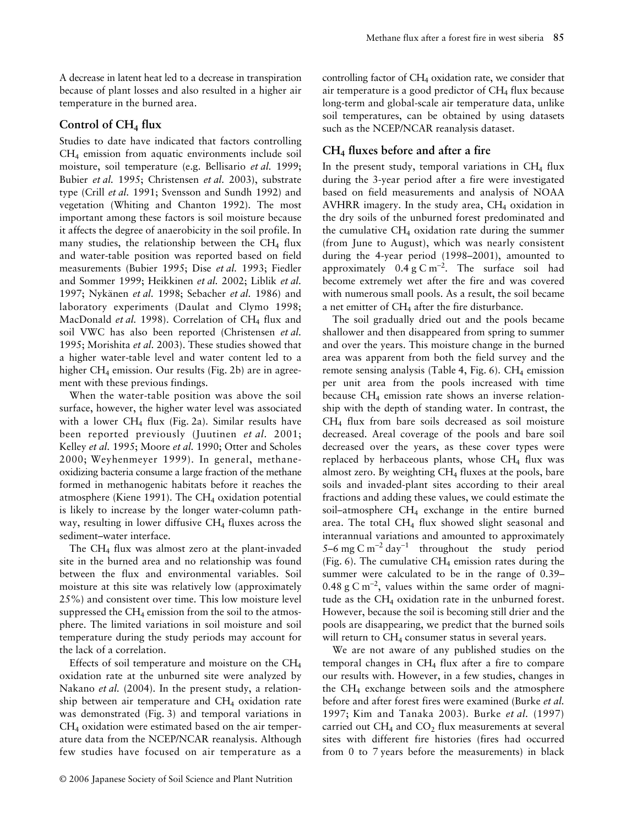A decrease in latent heat led to a decrease in transpiration because of plant losses and also resulted in a higher air temperature in the burned area.

# **Control of CH4 flux**

Studies to date have indicated that factors controlling CH4 emission from aquatic environments include soil moisture, soil temperature (e.g. Bellisario *et al.* 1999; Bubier *et al.* 1995; Christensen *et al.* 2003), substrate type (Crill *et al.* 1991; Svensson and Sundh 1992) and vegetation (Whiting and Chanton 1992). The most important among these factors is soil moisture because it affects the degree of anaerobicity in the soil profile. In many studies, the relationship between the  $CH<sub>4</sub>$  flux and water-table position was reported based on field measurements (Bubier 1995; Dise *et al.* 1993; Fiedler and Sommer 1999; Heikkinen *et al.* 2002; Liblik *et al.* 1997; Nykänen *et al.* 1998; Sebacher *et al.* 1986) and laboratory experiments (Daulat and Clymo 1998; MacDonald *et al.* 1998). Correlation of CH<sub>4</sub> flux and soil VWC has also been reported (Christensen *et al.* 1995; Morishita *et al.* 2003). These studies showed that a higher water-table level and water content led to a higher  $CH_4$  emission. Our results (Fig. 2b) are in agreement with these previous findings.

When the water-table position was above the soil surface, however, the higher water level was associated with a lower  $CH_4$  flux (Fig. 2a). Similar results have been reported previously (Juutinen *et al.* 2001; Kelley *et al.* 1995; Moore *et al.* 1990; Otter and Scholes 2000; Weyhenmeyer 1999). In general, methaneoxidizing bacteria consume a large fraction of the methane formed in methanogenic habitats before it reaches the atmosphere (Kiene 1991). The CH<sub>4</sub> oxidation potential is likely to increase by the longer water-column pathway, resulting in lower diffusive  $CH<sub>4</sub>$  fluxes across the sediment–water interface.

The CH4 flux was almost zero at the plant-invaded site in the burned area and no relationship was found between the flux and environmental variables. Soil moisture at this site was relatively low (approximately 25%) and consistent over time. This low moisture level suppressed the  $CH_4$  emission from the soil to the atmosphere. The limited variations in soil moisture and soil temperature during the study periods may account for the lack of a correlation.

Effects of soil temperature and moisture on the  $CH<sub>4</sub>$ oxidation rate at the unburned site were analyzed by Nakano *et al.* (2004). In the present study, a relationship between air temperature and  $CH<sub>4</sub>$  oxidation rate was demonstrated (Fig. 3) and temporal variations in  $CH<sub>4</sub>$  oxidation were estimated based on the air temperature data from the NCEP/NCAR reanalysis. Although few studies have focused on air temperature as a

controlling factor of  $CH_4$  oxidation rate, we consider that air temperature is a good predictor of  $CH<sub>4</sub>$  flux because long-term and global-scale air temperature data, unlike soil temperatures, can be obtained by using datasets such as the NCEP/NCAR reanalysis dataset.

## **CH4 fluxes before and after a fire**

In the present study, temporal variations in  $CH<sub>4</sub>$  flux during the 3-year period after a fire were investigated based on field measurements and analysis of NOAA AVHRR imagery. In the study area, CH<sub>4</sub> oxidation in the dry soils of the unburned forest predominated and the cumulative  $CH_4$  oxidation rate during the summer (from June to August), which was nearly consistent during the 4-year period (1998–2001), amounted to approximately  $0.4 \text{ g C m}^{-2}$ . The surface soil had become extremely wet after the fire and was covered with numerous small pools. As a result, the soil became a net emitter of CH<sub>4</sub> after the fire disturbance.

The soil gradually dried out and the pools became shallower and then disappeared from spring to summer and over the years. This moisture change in the burned area was apparent from both the field survey and the remote sensing analysis (Table 4, Fig.  $6$ ). CH<sub>4</sub> emission per unit area from the pools increased with time because  $CH_4$  emission rate shows an inverse relationship with the depth of standing water. In contrast, the CH4 flux from bare soils decreased as soil moisture decreased. Areal coverage of the pools and bare soil decreased over the years, as these cover types were replaced by herbaceous plants, whose  $CH<sub>4</sub>$  flux was almost zero. By weighting  $CH<sub>4</sub>$  fluxes at the pools, bare soils and invaded-plant sites according to their areal fractions and adding these values, we could estimate the soil–atmosphere CH<sub>4</sub> exchange in the entire burned area. The total CH<sub>4</sub> flux showed slight seasonal and interannual variations and amounted to approximately 5–6 mg C m<sup>-2</sup> day<sup>-1</sup> throughout the study period (Fig. 6). The cumulative  $CH_4$  emission rates during the summer were calculated to be in the range of 0.39– 0.48 g C m<sup>-2</sup>, values within the same order of magnitude as the CH<sub>4</sub> oxidation rate in the unburned forest. However, because the soil is becoming still drier and the pools are disappearing, we predict that the burned soils will return to  $CH<sub>4</sub>$  consumer status in several years.

We are not aware of any published studies on the temporal changes in  $CH<sub>4</sub>$  flux after a fire to compare our results with. However, in a few studies, changes in the CH4 exchange between soils and the atmosphere before and after forest fires were examined (Burke *et al.* 1997; Kim and Tanaka 2003). Burke *et al.* (1997) carried out  $CH_4$  and  $CO_2$  flux measurements at several sites with different fire histories (fires had occurred from 0 to 7 years before the measurements) in black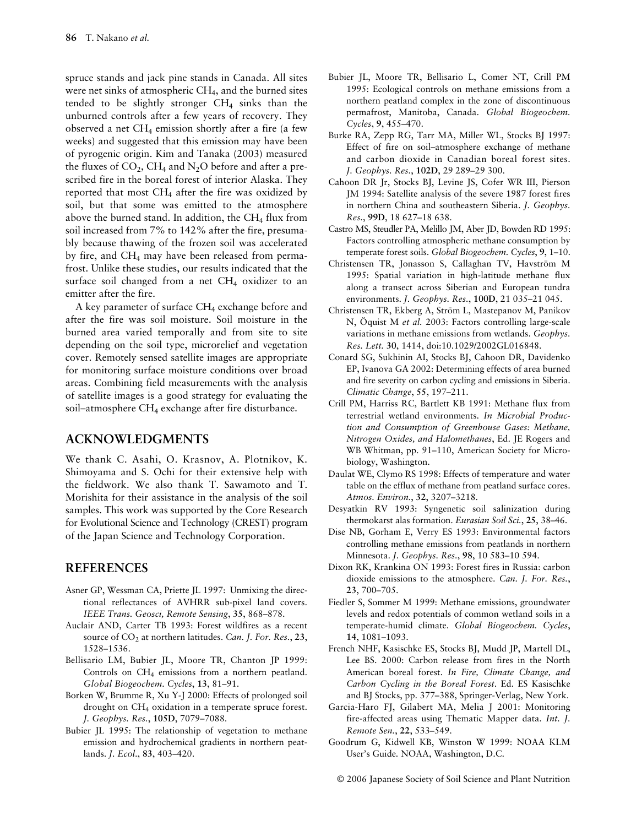spruce stands and jack pine stands in Canada. All sites were net sinks of atmospheric CH<sub>4</sub>, and the burned sites tended to be slightly stronger  $CH<sub>4</sub>$  sinks than the unburned controls after a few years of recovery. They observed a net  $CH_4$  emission shortly after a fire (a few weeks) and suggested that this emission may have been of pyrogenic origin. Kim and Tanaka (2003) measured the fluxes of  $CO_2$ , CH<sub>4</sub> and N<sub>2</sub>O before and after a prescribed fire in the boreal forest of interior Alaska. They reported that most  $CH_4$  after the fire was oxidized by soil, but that some was emitted to the atmosphere above the burned stand. In addition, the CH<sub>4</sub> flux from soil increased from 7% to 142% after the fire, presumably because thawing of the frozen soil was accelerated by fire, and CH4 may have been released from permafrost. Unlike these studies, our results indicated that the surface soil changed from a net  $CH_4$  oxidizer to an emitter after the fire.

A key parameter of surface CH<sub>4</sub> exchange before and after the fire was soil moisture. Soil moisture in the burned area varied temporally and from site to site depending on the soil type, microrelief and vegetation cover. Remotely sensed satellite images are appropriate for monitoring surface moisture conditions over broad areas. Combining field measurements with the analysis of satellite images is a good strategy for evaluating the soil-atmosphere CH<sub>4</sub> exchange after fire disturbance.

# **ACKNOWLEDGMENTS**

We thank C. Asahi, O. Krasnov, A. Plotnikov, K. Shimoyama and S. Ochi for their extensive help with the fieldwork. We also thank T. Sawamoto and T. Morishita for their assistance in the analysis of the soil samples. This work was supported by the Core Research for Evolutional Science and Technology (CREST) program of the Japan Science and Technology Corporation.

#### **REFERENCES**

- Asner GP, Wessman CA, Priette JL 1997: Unmixing the directional reflectances of AVHRR sub-pixel land covers. *IEEE Trans. Geosci, Remote Sensing*, **35**, 868–878.
- Auclair AND, Carter TB 1993: Forest wildfires as a recent source of CO<sub>2</sub> at northern latitudes. *Can. J. For. Res.*, 23, 1528–1536.
- Bellisario LM, Bubier JL, Moore TR, Chanton JP 1999: Controls on CH4 emissions from a northern peatland. *Global Biogeochem. Cycles*, **13**, 81–91.
- Borken W, Brumme R, Xu Y-J 2000: Effects of prolonged soil drought on CH4 oxidation in a temperate spruce forest. *J. Geophys. Res.*, **105D**, 7079–7088.
- Bubier JL 1995: The relationship of vegetation to methane emission and hydrochemical gradients in northern peatlands. *J. Ecol*., **83**, 403–420.
- Bubier JL, Moore TR, Bellisario L, Comer NT, Crill PM 1995: Ecological controls on methane emissions from a northern peatland complex in the zone of discontinuous permafrost, Manitoba, Canada. *Global Biogeochem. Cycles*, **9**, 455–470.
- Burke RA, Zepp RG, Tarr MA, Miller WL, Stocks BJ 1997: Effect of fire on soil–atmosphere exchange of methane and carbon dioxide in Canadian boreal forest sites. *J. Geophys. Res.*, **102D**, 29 289–29 300.
- Cahoon DR Jr, Stocks BJ, Levine JS, Cofer WR III, Pierson JM 1994: Satellite analysis of the severe 1987 forest fires in northern China and southeastern Siberia. *J. Geophys. Res.*, **99D**, 18 627–18 638.
- Castro MS, Steudler PA, Melillo JM, Aber JD, Bowden RD 1995: Factors controlling atmospheric methane consumption by temperate forest soils. *Global Biogeochem. Cycles*, **9**, 1–10.
- Christensen TR, Jonasson S, Callaghan TV, Havström M 1995: Spatial variation in high-latitude methane flux along a transect across Siberian and European tundra environments. *J. Geophys. Res.*, **100D**, 21 035–21 045.
- Christensen TR, Ekberg A, Ström L, Mastepanov M, Panikov N, Öquist M *et al.* 2003: Factors controlling large-scale variations in methane emissions from wetlands. *Geophys. Res. Lett.* **30**, 1414, doi:10.1029/2002GL016848.
- Conard SG, Sukhinin AI, Stocks BJ, Cahoon DR, Davidenko EP, Ivanova GA 2002: Determining effects of area burned and fire severity on carbon cycling and emissions in Siberia. *Climatic Change*, **55**, 197–211.
- Crill PM, Harriss RC, Bartlett KB 1991: Methane flux from terrestrial wetland environments. *In Microbial Production and Consumption of Greenhouse Gases: Methane, Nitrogen Oxides, and Halomethanes*, Ed. JE Rogers and WB Whitman, pp. 91–110, American Society for Microbiology, Washington.
- Daulat WE, Clymo RS 1998: Effects of temperature and water table on the efflux of methane from peatland surface cores. *Atmos. Environ.*, **32**, 3207–3218.
- Desyatkin RV 1993: Syngenetic soil salinization during thermokarst alas formation. *Eurasian Soil Sci.*, **25**, 38–46.
- Dise NB, Gorham E, Verry ES 1993: Environmental factors controlling methane emissions from peatlands in northern Minnesota. *J. Geophys. Res.*, **98**, 10 583–10 594.
- Dixon RK, Krankina ON 1993: Forest fires in Russia: carbon dioxide emissions to the atmosphere. *Can. J. For. Res.*, **23**, 700–705.
- Fiedler S, Sommer M 1999: Methane emissions, groundwater levels and redox potentials of common wetland soils in a temperate-humid climate. *Global Biogeochem. Cycles*, **14**, 1081–1093.
- French NHF, Kasischke ES, Stocks BJ, Mudd JP, Martell DL, Lee BS. 2000: Carbon release from fires in the North American boreal forest. *In Fire, Climate Change, and Carbon Cycling in the Boreal Forest*. Ed. ES Kasischke and BJ Stocks, pp. 377–388, Springer-Verlag, New York.
- Garcia-Haro FJ, Gilabert MA, Melia J 2001: Monitoring fire-affected areas using Thematic Mapper data. *Int. J. Remote Sen.*, **22**, 533–549.
- Goodrum G, Kidwell KB, Winston W 1999: NOAA KLM User's Guide*.* NOAA, Washington, D.C.

© 2006 Japanese Society of Soil Science and Plant Nutrition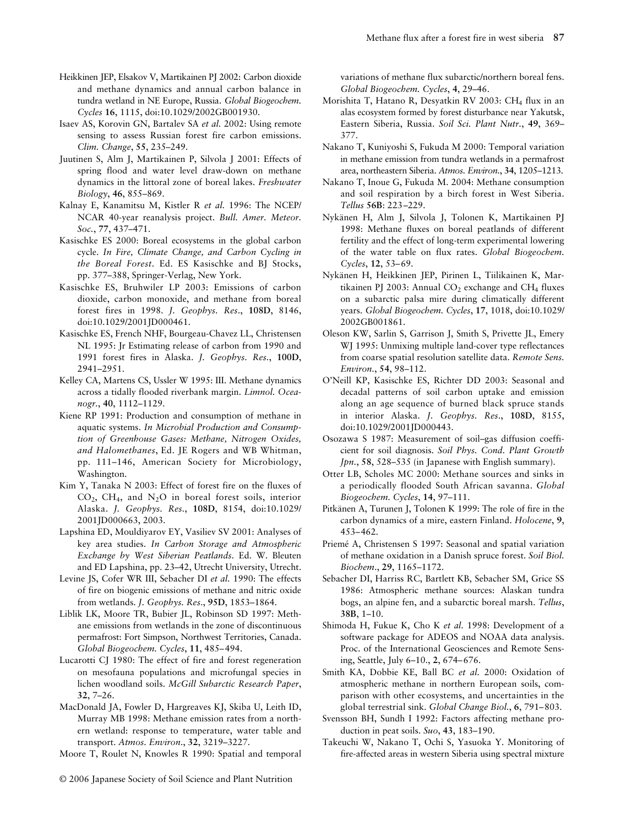- Heikkinen JEP, Elsakov V, Martikainen PJ 2002: Carbon dioxide and methane dynamics and annual carbon balance in tundra wetland in NE Europe, Russia. *Global Biogeochem. Cycles* **16**, 1115, doi:10.1029/2002GB001930.
- Isaev AS, Korovin GN, Bartalev SA *et al.* 2002: Using remote sensing to assess Russian forest fire carbon emissions. *Clim. Change*, **55**, 235–249.
- Juutinen S, Alm J, Martikainen P, Silvola J 2001: Effects of spring flood and water level draw-down on methane dynamics in the littoral zone of boreal lakes. *Freshwater Biology*, **46**, 855–869.
- Kalnay E, Kanamitsu M, Kistler R *et al.* 1996: The NCEP/ NCAR 40-year reanalysis project. *Bull. Amer. Meteor. Soc.*, **77**, 437–471.
- Kasischke ES 2000: Boreal ecosystems in the global carbon cycle. *In Fire, Climate Change, and Carbon Cycling in the Boreal Forest*. Ed. ES Kasischke and BJ Stocks, pp. 377–388, Springer-Verlag, New York.
- Kasischke ES, Bruhwiler LP 2003: Emissions of carbon dioxide, carbon monoxide, and methane from boreal forest fires in 1998. *J. Geophys. Res*., **108D**, 8146, doi:10.1029/2001JD000461.
- Kasischke ES, French NHF, Bourgeau-Chavez LL, Christensen NL 1995: Jr Estimating release of carbon from 1990 and 1991 forest fires in Alaska. *J. Geophys. Res.*, **100D**, 2941–2951.
- Kelley CA, Martens CS, Ussler W 1995: III. Methane dynamics across a tidally flooded riverbank margin. *Limnol. Oceanogr.*, **40**, 1112–1129.
- Kiene RP 1991: Production and consumption of methane in aquatic systems. *In Microbial Production and Consumption of Greenhouse Gases: Methane, Nitrogen Oxides, and Halomethanes*, Ed. JE Rogers and WB Whitman, pp. 111–146, American Society for Microbiology, Washington.
- Kim Y, Tanaka N 2003: Effect of forest fire on the fluxes of  $CO<sub>2</sub>$ , CH<sub>4</sub>, and N<sub>2</sub>O in boreal forest soils, interior Alaska. *J. Geophys. Res.*, **108D**, 8154, doi:10.1029/ 2001JD000663, 2003.
- Lapshina ED, Mouldiyarov EY, Vasiliev SV 2001: Analyses of key area studies. *In Carbon Storage and Atmospheric Exchange by West Siberian Peatlands.* Ed. W. Bleuten and ED Lapshina, pp. 23–42, Utrecht University, Utrecht.
- Levine JS, Cofer WR III, Sebacher DI *et al.* 1990: The effects of fire on biogenic emissions of methane and nitric oxide from wetlands. *J. Geophys. Res*., **95D**, 1853–1864.
- Liblik LK, Moore TR, Bubier JL, Robinson SD 1997: Methane emissions from wetlands in the zone of discontinuous permafrost: Fort Simpson, Northwest Territories, Canada. *Global Biogeochem. Cycles*, **11**, 485–494.
- Lucarotti CJ 1980: The effect of fire and forest regeneration on mesofauna populations and microfungal species in lichen woodland soils. *McGill Subarctic Research Paper*, **32**, 7–26.
- MacDonald JA, Fowler D, Hargreaves KJ, Skiba U, Leith ID, Murray MB 1998: Methane emission rates from a northern wetland: response to temperature, water table and transport. *Atmos. Environ*., **32**, 3219–3227.
- Moore T, Roulet N, Knowles R 1990: Spatial and temporal

variations of methane flux subarctic/northern boreal fens. *Global Biogeochem. Cycles*, **4**, 29–46.

- Morishita T, Hatano R, Desyatkin RV 2003: CH<sub>4</sub> flux in an alas ecosystem formed by forest disturbance near Yakutsk, Eastern Siberia, Russia. *Soil Sci. Plant Nutr.*, **49**, 369– 377.
- Nakano T, Kuniyoshi S, Fukuda M 2000: Temporal variation in methane emission from tundra wetlands in a permafrost area, northeastern Siberia. *Atmos. Environ.*, **34**, 1205–1213.
- Nakano T, Inoue G, Fukuda M. 2004: Methane consumption and soil respiration by a birch forest in West Siberia. *Tellus* **56B**: 223–229.
- Nykänen H, Alm J, Silvola J, Tolonen K, Martikainen PJ 1998: Methane fluxes on boreal peatlands of different fertility and the effect of long-term experimental lowering of the water table on flux rates. *Global Biogeochem. Cycles*, **12**, 53–69.
- Nykänen H, Heikkinen JEP, Pirinen L, Tiilikainen K, Martikainen PJ 2003: Annual  $CO<sub>2</sub>$  exchange and  $CH<sub>4</sub>$  fluxes on a subarctic palsa mire during climatically different years. *Global Biogeochem. Cycles*, **17**, 1018, doi:10.1029/ 2002GB001861.
- Oleson KW, Sarlin S, Garrison J, Smith S, Privette JL, Emery WJ 1995: Unmixing multiple land-cover type reflectances from coarse spatial resolution satellite data. *Remote Sens. Environ.*, **54**, 98–112.
- O'Neill KP, Kasischke ES, Richter DD 2003: Seasonal and decadal patterns of soil carbon uptake and emission along an age sequence of burned black spruce stands in interior Alaska. *J. Geophys. Res*., **108D**, 8155, doi:10.1029/2001JD000443.
- Osozawa S 1987: Measurement of soil–gas diffusion coefficient for soil diagnosis. *Soil Phys. Cond. Plant Growth Jpn.*, **58**, 528–535 (in Japanese with English summary).
- Otter LB, Scholes MC 2000: Methane sources and sinks in a periodically flooded South African savanna. *Global Biogeochem. Cycles*, **14**, 97–111.
- Pitkänen A, Turunen J, Tolonen K 1999: The role of fire in the carbon dynamics of a mire, eastern Finland. *Holocene*, **9**, 453–462.
- Priemé A, Christensen S 1997: Seasonal and spatial variation of methane oxidation in a Danish spruce forest. *Soil Biol. Biochem*., **29**, 1165–1172.
- Sebacher DI, Harriss RC, Bartlett KB, Sebacher SM, Grice SS 1986: Atmospheric methane sources: Alaskan tundra bogs, an alpine fen, and a subarctic boreal marsh. *Tellus*, **38B**, 1–10.
- Shimoda H, Fukue K, Cho K *et al.* 1998: Development of a software package for ADEOS and NOAA data analysis. Proc. of the International Geosciences and Remote Sensing, Seattle, July 6–10., **2**, 674–676.
- Smith KA, Dobbie KE, Ball BC *et al.* 2000: Oxidation of atmospheric methane in northern European soils, comparison with other ecosystems, and uncertainties in the global terrestrial sink. *Global Change Biol.*, **6**, 791–803.
- Svensson BH, Sundh I 1992: Factors affecting methane production in peat soils. *Suo*, **43**, 183–190.
- Takeuchi W, Nakano T, Ochi S, Yasuoka Y. Monitoring of fire-affected areas in western Siberia using spectral mixture